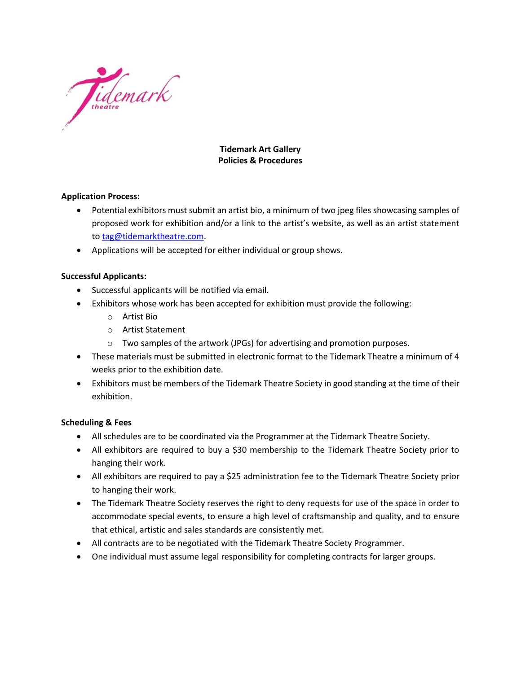

# **Tidemark Art Gallery Policies & Procedures**

# **Application Process:**

- Potential exhibitors must submit an artist bio, a minimum of two jpeg files showcasing samples of proposed work for exhibition and/or a link to the artist's website, as well as an artist statement to [tag@tidemarktheatre.com.](mailto:tag@tidemarktheatre.com)
- Applications will be accepted for either individual or group shows.

# **Successful Applicants:**

- Successful applicants will be notified via email.
- Exhibitors whose work has been accepted for exhibition must provide the following:
	- o Artist Bio
	- o Artist Statement
	- $\circ$  Two samples of the artwork (JPGs) for advertising and promotion purposes.
- These materials must be submitted in electronic format to the Tidemark Theatre a minimum of 4 weeks prior to the exhibition date.
- Exhibitors must be members of the Tidemark Theatre Society in good standing at the time of their exhibition.

## **Scheduling & Fees**

- All schedules are to be coordinated via the Programmer at the Tidemark Theatre Society.
- All exhibitors are required to buy a \$30 membership to the Tidemark Theatre Society prior to hanging their work.
- All exhibitors are required to pay a \$25 administration fee to the Tidemark Theatre Society prior to hanging their work.
- The Tidemark Theatre Society reserves the right to deny requests for use of the space in order to accommodate special events, to ensure a high level of craftsmanship and quality, and to ensure that ethical, artistic and sales standards are consistently met.
- All contracts are to be negotiated with the Tidemark Theatre Society Programmer.
- One individual must assume legal responsibility for completing contracts for larger groups.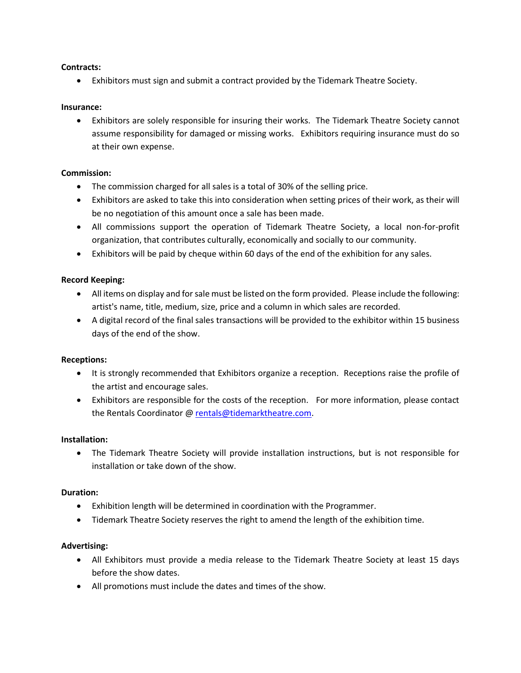## **Contracts:**

• Exhibitors must sign and submit a contract provided by the Tidemark Theatre Society.

#### **Insurance:**

• Exhibitors are solely responsible for insuring their works. The Tidemark Theatre Society cannot assume responsibility for damaged or missing works. Exhibitors requiring insurance must do so at their own expense.

#### **Commission:**

- The commission charged for all sales is a total of 30% of the selling price.
- Exhibitors are asked to take this into consideration when setting prices of their work, as their will be no negotiation of this amount once a sale has been made.
- All commissions support the operation of Tidemark Theatre Society, a local non-for-profit organization, that contributes culturally, economically and socially to our community.
- Exhibitors will be paid by cheque within 60 days of the end of the exhibition for any sales.

#### **Record Keeping:**

- All items on display and for sale must be listed on the form provided. Please include the following: artist's name, title, medium, size, price and a column in which sales are recorded.
- A digital record of the final sales transactions will be provided to the exhibitor within 15 business days of the end of the show.

## **Receptions:**

- It is strongly recommended that Exhibitors organize a reception. Receptions raise the profile of the artist and encourage sales.
- Exhibitors are responsible for the costs of the reception. For more information, please contact the Rentals Coordinator [@ rentals@tidemarktheatre.com.](mailto:rentals@tidemarktheatre.com)

#### **Installation:**

• The Tidemark Theatre Society will provide installation instructions, but is not responsible for installation or take down of the show.

## **Duration:**

- Exhibition length will be determined in coordination with the Programmer.
- Tidemark Theatre Society reserves the right to amend the length of the exhibition time.

## **Advertising:**

- All Exhibitors must provide a media release to the Tidemark Theatre Society at least 15 days before the show dates.
- All promotions must include the dates and times of the show.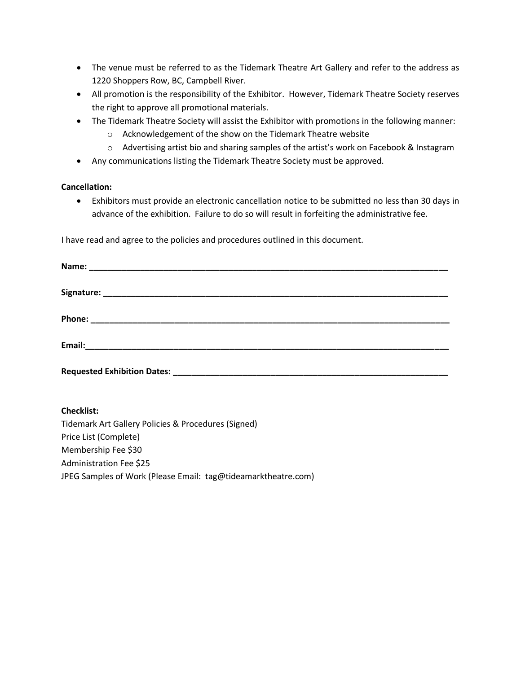- The venue must be referred to as the Tidemark Theatre Art Gallery and refer to the address as 1220 Shoppers Row, BC, Campbell River.
- All promotion is the responsibility of the Exhibitor. However, Tidemark Theatre Society reserves the right to approve all promotional materials.
- The Tidemark Theatre Society will assist the Exhibitor with promotions in the following manner:
	- o Acknowledgement of the show on the Tidemark Theatre website
	- o Advertising artist bio and sharing samples of the artist's work on Facebook & Instagram
- Any communications listing the Tidemark Theatre Society must be approved.

# **Cancellation:**

• Exhibitors must provide an electronic cancellation notice to be submitted no less than 30 days in advance of the exhibition. Failure to do so will result in forfeiting the administrative fee.

I have read and agree to the policies and procedures outlined in this document.

| Requested Exhibition Dates: |  |  |
|-----------------------------|--|--|

## **Checklist:**

Tidemark Art Gallery Policies & Procedures (Signed) Price List (Complete) Membership Fee \$30 Administration Fee \$25 JPEG Samples of Work (Please Email: tag@tideamarktheatre.com)